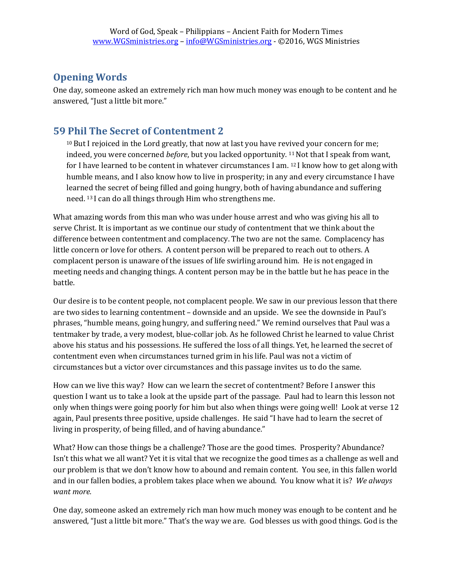## **Opening Words**

One day, someone asked an extremely rich man how much money was enough to be content and he answered, "Just a little bit more."

## **59 Phil The Secret of Contentment 2**

 $10$  But I rejoiced in the Lord greatly, that now at last you have revived your concern for me; indeed, you were concerned *before*, but you lacked opportunity. <sup>11</sup> Not that I speak from want, for I have learned to be content in whatever circumstances I am.  $121$  know how to get along with humble means, and I also know how to live in prosperity; in any and every circumstance I have learned the secret of being filled and going hungry, both of having abundance and suffering need. <sup>13</sup>I can do all things through Him who strengthens me.

What amazing words from this man who was under house arrest and who was giving his all to serve Christ. It is important as we continue our study of contentment that we think about the difference between contentment and complacency. The two are not the same. Complacency has little concern or love for others. A content person will be prepared to reach out to others. A complacent person is unaware of the issues of life swirling around him. He is not engaged in meeting needs and changing things. A content person may be in the battle but he has peace in the battle.

Our desire is to be content people, not complacent people. We saw in our previous lesson that there are two sides to learning contentment – downside and an upside. We see the downside in Paul's phrases, "humble means, going hungry, and suffering need." We remind ourselves that Paul was a tentmaker by trade, a very modest, blue-collar job. As he followed Christ he learned to value Christ above his status and his possessions. He suffered the loss of all things. Yet, he learned the secret of contentment even when circumstances turned grim in his life. Paul was not a victim of circumstances but a victor over circumstances and this passage invites us to do the same.

How can we live this way? How can we learn the secret of contentment? Before I answer this question I want us to take a look at the upside part of the passage. Paul had to learn this lesson not only when things were going poorly for him but also when things were going well! Look at verse 12 again, Paul presents three positive, upside challenges. He said "I have had to learn the secret of living in prosperity, of being filled, and of having abundance."

What? How can those things be a challenge? Those are the good times. Prosperity? Abundance? Isn't this what we all want? Yet it is vital that we recognize the good times as a challenge as well and our problem is that we don't know how to abound and remain content. You see, in this fallen world and in our fallen bodies, a problem takes place when we abound. You know what it is? *We always want more.* 

One day, someone asked an extremely rich man how much money was enough to be content and he answered, "Just a little bit more." That's the way we are. God blesses us with good things. God is the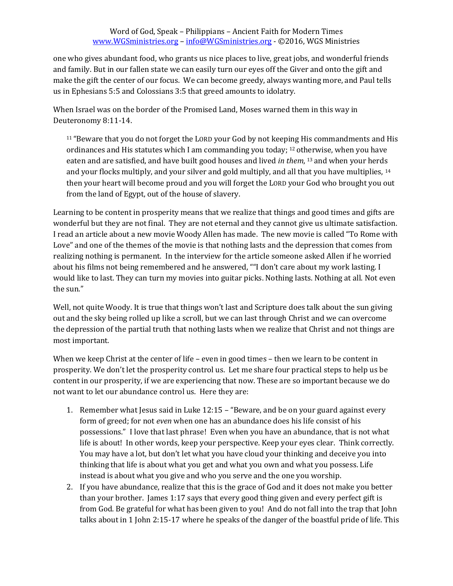one who gives abundant food, who grants us nice places to live, great jobs, and wonderful friends and family. But in our fallen state we can easily turn our eyes off the Giver and onto the gift and make the gift the center of our focus. We can become greedy, always wanting more, and Paul tells us in Ephesians 5:5 and Colossians 3:5 that greed amounts to idolatry.

When Israel was on the border of the Promised Land, Moses warned them in this way in Deuteronomy 8:11-14.

<sup>11</sup> "Beware that you do not forget the LORD your God by not keeping His commandments and His ordinances and His statutes which I am commanding you today; <sup>12</sup> otherwise, when you have eaten and are satisfied, and have built good houses and lived *in them*, <sup>13</sup>and when your herds and your flocks multiply, and your silver and gold multiply, and all that you have multiplies, <sup>14</sup> then your heart will become proud and you will forget the LORD your God who brought you out from the land of Egypt, out of the house of slavery.

Learning to be content in prosperity means that we realize that things and good times and gifts are wonderful but they are not final. They are not eternal and they cannot give us ultimate satisfaction. I read an article about a new movie Woody Allen has made. The new movie is called "To Rome with Love" and one of the themes of the movie is that nothing lasts and the depression that comes from realizing nothing is permanent. In the interview for the article someone asked Allen if he worried about his films not being remembered and he answered, ""I don't care about my work lasting. I would like to last. They can turn my movies into guitar picks. Nothing lasts. Nothing at all. Not even the sun."

Well, not quite Woody. It is true that things won't last and Scripture does talk about the sun giving out and the sky being rolled up like a scroll, but we can last through Christ and we can overcome the depression of the partial truth that nothing lasts when we realize that Christ and not things are most important.

When we keep Christ at the center of life – even in good times – then we learn to be content in prosperity. We don't let the prosperity control us. Let me share four practical steps to help us be content in our prosperity, if we are experiencing that now. These are so important because we do not want to let our abundance control us. Here they are:

- 1. Remember what Jesus said in Luke 12:15 "Beware, and be on your guard against every form of greed; for not *even* when one has an abundance does his life consist of his possessions." I love that last phrase! Even when you have an abundance, that is not what life is about! In other words, keep your perspective. Keep your eyes clear. Think correctly. You may have a lot, but don't let what you have cloud your thinking and deceive you into thinking that life is about what you get and what you own and what you possess. Life instead is about what you give and who you serve and the one you worship.
- 2. If you have abundance, realize that this is the grace of God and it does not make you better than your brother. James 1:17 says that every good thing given and every perfect gift is from God. Be grateful for what has been given to you! And do not fall into the trap that John talks about in 1 John 2:15-17 where he speaks of the danger of the boastful pride of life. This